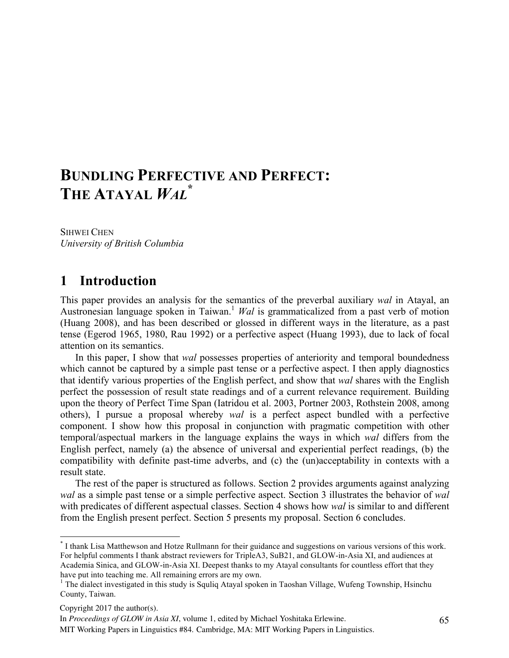# **BUNDLING PERFECTIVE AND PERFECT: THE ATAYAL** *WAL* **\***

SIHWEI CHEN *University of British Columbia*

## **1** Introduction

This paper provides an analysis for the semantics of the preverbal auxiliary *wal* in Atayal, an Austronesian language spoken in Taiwan. <sup>1</sup> *Wal* is grammaticalized from a past verb of motion (Huang 2008), and has been described or glossed in different ways in the literature, as a past tense (Egerod 1965, 1980, Rau 1992) or a perfective aspect (Huang 1993), due to lack of focal attention on its semantics.

In this paper, I show that *wal* possesses properties of anteriority and temporal boundedness which cannot be captured by a simple past tense or a perfective aspect. I then apply diagnostics that identify various properties of the English perfect, and show that *wal* shares with the English perfect the possession of result state readings and of a current relevance requirement. Building upon the theory of Perfect Time Span (Iatridou et al. 2003, Portner 2003, Rothstein 2008, among others), I pursue a proposal whereby *wal* is a perfect aspect bundled with a perfective component. I show how this proposal in conjunction with pragmatic competition with other temporal/aspectual markers in the language explains the ways in which *wal* differs from the English perfect, namely (a) the absence of universal and experiential perfect readings, (b) the compatibility with definite past-time adverbs, and (c) the (un)acceptability in contexts with a result state.

The rest of the paper is structured as follows. Section 2 provides arguments against analyzing *wal* as a simple past tense or a simple perfective aspect. Section 3 illustrates the behavior of *wal* with predicates of different aspectual classes. Section 4 shows how *wal* is similar to and different from the English present perfect. Section 5 presents my proposal. Section 6 concludes.

 <sup>\*</sup> I thank Lisa Matthewson and Hotze Rullmann for their guidance and suggestions on various versions of this work. For helpful comments I thank abstract reviewers for TripleA3, SuB21, and GLOW-in-Asia XI, and audiences at Academia Sinica, and GLOW-in-Asia XI. Deepest thanks to my Atayal consultants for countless effort that they have put into teaching me. All remaining errors are my own.

<sup>&</sup>lt;sup>1</sup> The dialect investigated in this study is Squliq Atayal spoken in Taoshan Village, Wufeng Township, Hsinchu County, Taiwan.

Copyright 2017 the author(s).

In *Proceedings of GLOW in Asia XI*, volume 1, edited by Michael Yoshitaka Erlewine.

MIT Working Papers in Linguistics #84. Cambridge, MA: MIT Working Papers in Linguistics.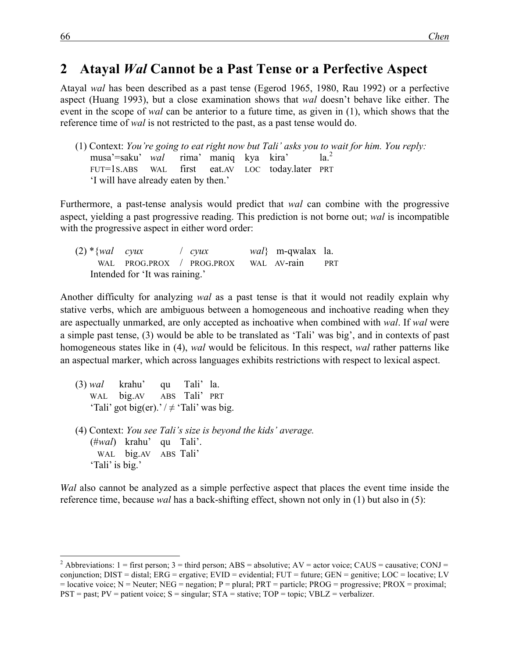## **2 Atayal Wal** Cannot be a Past Tense or a Perfective Aspect

Atayal *wal* has been described as a past tense (Egerod 1965, 1980, Rau 1992) or a perfective aspect (Huang 1993), but a close examination shows that *wal* doesn't behave like either. The event in the scope of *wal* can be anterior to a future time, as given in (1), which shows that the reference time of *wal* is not restricted to the past, as a past tense would do.

(1) Context: *You're going to eat right now but Tali' asks you to wait for him. You reply:* musa'=saku' *wal* rima' maniq kya kira' la.<sup>2</sup> FUT=1S.ABS WAL first eat.AV LOC today.later PRT 'I will have already eaten by then.'

Furthermore, a past-tense analysis would predict that *wal* can combine with the progressive aspect, yielding a past progressive reading. This prediction is not borne out; *wal* is incompatible with the progressive aspect in either word order:

|                                | $(2)$ * { <i>wal cyux</i> |  |  | $\int$ cyux                           |  | <i>wal</i> } m-qwalax la. |            |
|--------------------------------|---------------------------|--|--|---------------------------------------|--|---------------------------|------------|
|                                |                           |  |  | WAL PROG.PROX / PROG.PROX WAL AV-rain |  |                           | <b>PRT</b> |
| Intended for 'It was raining.' |                           |  |  |                                       |  |                           |            |

Another difficulty for analyzing *wal* as a past tense is that it would not readily explain why stative verbs, which are ambiguous between a homogeneous and inchoative reading when they are aspectually unmarked, are only accepted as inchoative when combined with *wal*. If *wal* were a simple past tense, (3) would be able to be translated as 'Tali' was big', and in contexts of past homogeneous states like in (4), *wal* would be felicitous. In this respect, *wal* rather patterns like an aspectual marker, which across languages exhibits restrictions with respect to lexical aspect.

- (3) *wal* krahu' qu Tali' la. WAL big.AV ABS Tali' PRT 'Tali' got big(er).' /  $\neq$  'Tali' was big.
- (4) Context: *You see Tali's size is beyond the kids' average.* (#*wal*) krahu' qu Tali'. WAL big.AV ABS Tali' 'Tali' is big.'

*Wal* also cannot be analyzed as a simple perfective aspect that places the event time inside the reference time, because *wal* has a back-shifting effect, shown not only in (1) but also in (5):

<sup>&</sup>lt;sup>2</sup> Abbreviations: 1 = first person; 3 = third person; ABS = absolutive; AV = actor voice; CAUS = causative; CONJ = conjunction; DIST = distal; ERG = ergative; EVID = evidential; FUT = future; GEN = genitive; LOC = locative; LV  $=$  locative voice; N  $=$  Neuter; NEG  $=$  negation; P  $=$  plural; PRT  $=$  particle; PROG  $=$  progressive; PROX  $=$  proximal;  $PST =$  past;  $PV =$  patient voice;  $S =$  singular;  $STA =$  stative;  $TOP =$  topic;  $VBLZ =$  verbalizer.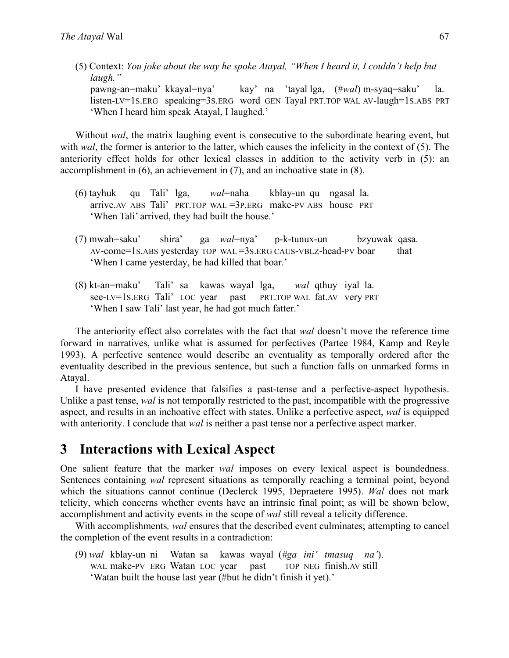(5) Context: *You joke about the way he spoke Atayal, "When I heard it, I couldn't help but laugh."*

 pawng-an=maku' kkayal=nya' kay' na 'tayal lga, (#*wal*) m-syaq=saku' la. listen-LV=1S.ERG speaking=3S.ERG word GEN Tayal PRT.TOP WAL AV-laugh=1S.ABS PRT 'When I heard him speak Atayal, I laughed.'

Without *wal*, the matrix laughing event is consecutive to the subordinate hearing event, but with *wal*, the former is anterior to the latter, which causes the infelicity in the context of (5). The anteriority effect holds for other lexical classes in addition to the activity verb in (5): an accomplishment in (6), an achievement in (7), and an inchoative state in (8).

- (6) tayhuk qu Tali' lga, *wal*=naha kblay-un qu ngasal la. arrive.AV ABS Tali' PRT.TOP WAL =3P.ERG make-PV ABS house PRT 'When Tali' arrived, they had built the house.'
- (7) mwah=saku' shira' ga *wal*=nya' p-k-tunux-un bzyuwak qasa. AV-come=1S.ABS yesterday TOP WAL =3S.ERG CAUS-VBLZ-head-PV boar that 'When I came yesterday, he had killed that boar.'
- (8) kt-an=maku' Tali' sa kawas wayal lga, *wal* qthuy iyal la. see-LV=1S.ERG Tali' LOC year past PRT.TOP WAL fat.AV very PRT 'When I saw Tali' last year, he had got much fatter.'

The anteriority effect also correlates with the fact that *wal* doesn't move the reference time forward in narratives, unlike what is assumed for perfectives (Partee 1984, Kamp and Reyle 1993). A perfective sentence would describe an eventuality as temporally ordered after the eventuality described in the previous sentence, but such a function falls on unmarked forms in Atayal.

I have presented evidence that falsifies a past-tense and a perfective-aspect hypothesis. Unlike a past tense, *wal* is not temporally restricted to the past, incompatible with the progressive aspect, and results in an inchoative effect with states. Unlike a perfective aspect, *wal* is equipped with anteriority. I conclude that *wal* is neither a past tense nor a perfective aspect marker.

## **3 Interactions with Lexical Aspect**

One salient feature that the marker *wal* imposes on every lexical aspect is boundedness. Sentences containing *wal* represent situations as temporally reaching a terminal point, beyond which the situations cannot continue (Declerck 1995, Depraetere 1995). *Wal* does not mark telicity, which concerns whether events have an intrinsic final point; as will be shown below, accomplishment and activity events in the scope of *wal* still reveal a telicity difference.

With accomplishments*, wal* ensures that the described event culminates; attempting to cancel the completion of the event results in a contradiction:

(9) *wal* kblay-un ni Watan sa kawas wayal (*#ga ini' tmasuq na'*). WAL make-PV ERG Watan LOC year past TOP NEG finish.AV still 'Watan built the house last year (#but he didn't finish it yet).'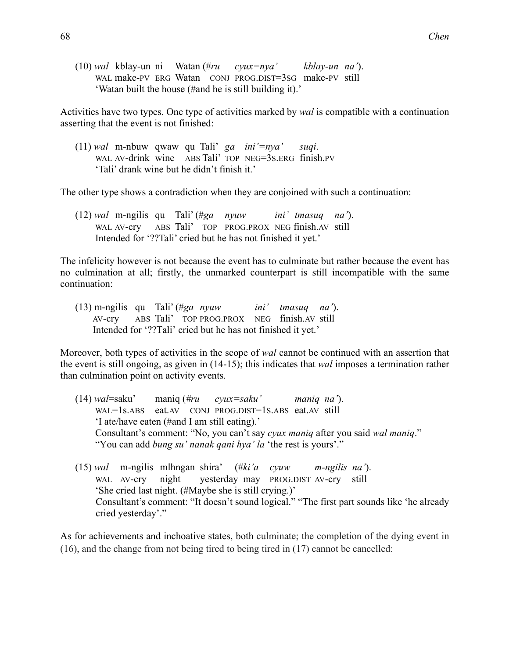(10) *wal* kblay-un ni Watan (#*ru cyux=nya' kblay-un na'*). WAL make-PV ERG Watan CONJ PROG.DIST=3SG make-PV still 'Watan built the house (#and he is still building it).'

Activities have two types. One type of activities marked by *wal* is compatible with a continuation asserting that the event is not finished:

(11) *wal* m-nbuw qwaw qu Tali' *ga ini'=nya' suqi*. WAL AV-drink wine ABS Tali' TOP NEG=3S.ERG finish.PV 'Tali' drank wine but he didn't finish it.'

The other type shows a contradiction when they are conjoined with such a continuation:

(12) *wal* m-ngilis qu Tali' (#*ga nyuw ini' tmasuq na'*). WAL AV-cry ABS Tali' TOP PROG.PROX NEG finish.AV still Intended for '??Tali' cried but he has not finished it yet.'

The infelicity however is not because the event has to culminate but rather because the event has no culmination at all; firstly, the unmarked counterpart is still incompatible with the same continuation:

(13) m-ngilis qu Tali' (#*ga nyuw ini' tmasuq na'*). AV-cry ABS Tali' TOP PROG.PROX NEG finish.AV still Intended for '??Tali' cried but he has not finished it yet.'

Moreover, both types of activities in the scope of *wal* cannot be continued with an assertion that the event is still ongoing, as given in (14-15); this indicates that *wal* imposes a termination rather than culmination point on activity events.

- (14) *wal*=saku' maniq (*#ru cyux=saku' maniq na'*). WAL=1s.ABS eat.AV CONJ PROG.DIST=1S.ABS eat.AV still 'I ate/have eaten (#and I am still eating).' Consultant's comment: "No, you can't say *cyux maniq* after you said *wal maniq*." "You can add *bung su' nanak qani hya' la* 'the rest is yours'."
- (15) *wal* m-ngilis mlhngan shira' (#*ki'a cyuw m-ngilis na'*). WAL AV-cry night yesterday may PROG.DIST AV-cry still 'She cried last night. (#Maybe she is still crying.)' Consultant's comment: "It doesn't sound logical." "The first part sounds like 'he already cried yesterday'."

As for achievements and inchoative states, both culminate; the completion of the dying event in (16), and the change from not being tired to being tired in (17) cannot be cancelled: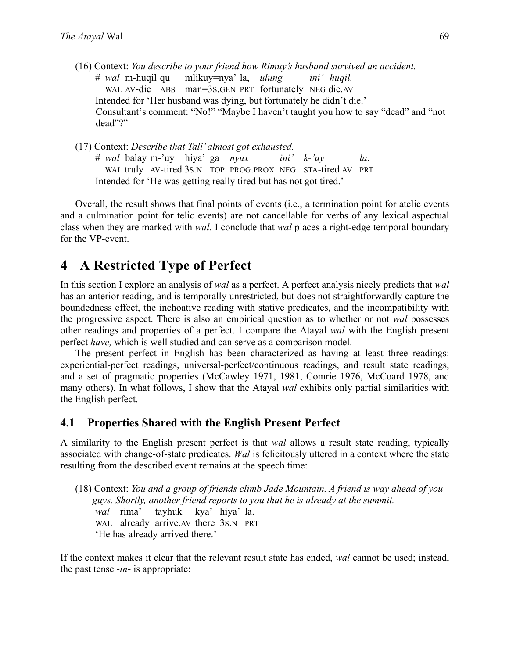- (16) Context: *You describe to your friend how Rimuy's husband survived an accident.* # *wal* m-huqil qu mlikuy=nya' la, *ulung ini' huqil.* WAL AV-die ABS man=3S.GEN PRT fortunately NEG die.AV Intended for 'Her husband was dying, but fortunately he didn't die.' Consultant's comment: "No!" "Maybe I haven't taught you how to say "dead" and "not dead"?"
- (17) Context: *Describe that Tali' almost got exhausted.* # *wal* balay m-'uy hiya' ga *nyux ini' k-'uy la*. WAL truly AV-tired 3S.N TOP PROG.PROX NEG STA-tired.AV PRT Intended for 'He was getting really tired but has not got tired.'

Overall, the result shows that final points of events (i.e., a termination point for atelic events and a culmination point for telic events) are not cancellable for verbs of any lexical aspectual class when they are marked with *wal*. I conclude that *wal* places a right-edge temporal boundary for the VP-event.

## **4 A** Restricted Type of Perfect

In this section I explore an analysis of *wal* as a perfect. A perfect analysis nicely predicts that *wal*  has an anterior reading, and is temporally unrestricted, but does not straightforwardly capture the boundedness effect, the inchoative reading with stative predicates, and the incompatibility with the progressive aspect. There is also an empirical question as to whether or not *wal* possesses other readings and properties of a perfect. I compare the Atayal *wal* with the English present perfect *have,* which is well studied and can serve as a comparison model.

The present perfect in English has been characterized as having at least three readings: experiential-perfect readings, universal-perfect/continuous readings, and result state readings, and a set of pragmatic properties (McCawley 1971, 1981, Comrie 1976, McCoard 1978, and many others). In what follows, I show that the Atayal *wal* exhibits only partial similarities with the English perfect.

### **4.1 Properties Shared with the English Present Perfect**

A similarity to the English present perfect is that *wal* allows a result state reading, typically associated with change-of-state predicates. *Wal* is felicitously uttered in a context where the state resulting from the described event remains at the speech time:

(18) Context: *You and a group of friends climb Jade Mountain. A friend is way ahead of you guys. Shortly, another friend reports to you that he is already at the summit. wal* rima' tayhuk kya' hiya' la. WAL already arrive. AV there 3S.N PRT 'He has already arrived there.'

If the context makes it clear that the relevant result state has ended, *wal* cannot be used; instead, the past tense -*in*- is appropriate: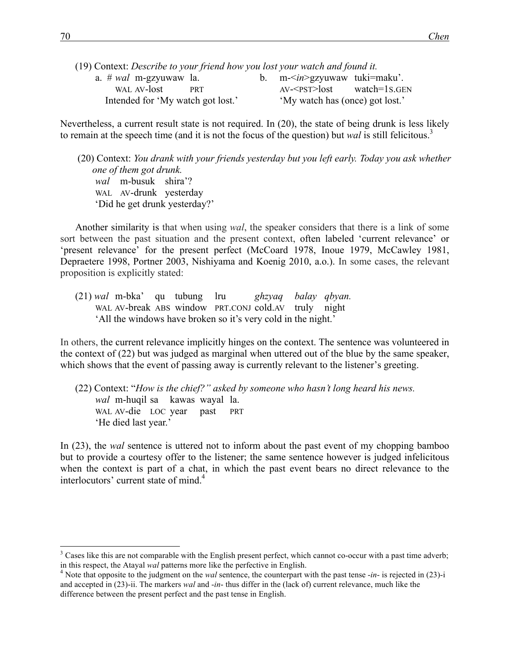| (19) Context: Describe to your friend how you lost your watch and found it. |  |  |  |                                   |            |                                    |  |
|-----------------------------------------------------------------------------|--|--|--|-----------------------------------|------------|------------------------------------|--|
|                                                                             |  |  |  | a. # <i>wal</i> m-gzyuwaw la.     |            | b. $m\leq in\geq gzyu$ tuki=maku'. |  |
|                                                                             |  |  |  | WAL AV-lost                       | <b>PRT</b> | $AV < PST > lost$ watch=1s.GEN     |  |
|                                                                             |  |  |  | Intended for 'My watch got lost.' |            | 'My watch has (once) got lost.'    |  |
|                                                                             |  |  |  |                                   |            |                                    |  |

Nevertheless, a current result state is not required. In (20), the state of being drunk is less likely to remain at the speech time (and it is not the focus of the question) but *wal* is still felicitous. 3

(20) Context: *You drank with your friends yesterday but you left early. Today you ask whether one of them got drunk. wal* m-busuk shira'? WAL AV-drunk yesterday 'Did he get drunk yesterday?'

Another similarity is that when using *wal*, the speaker considers that there is a link of some sort between the past situation and the present context, often labeled 'current relevance' or 'present relevance' for the present perfect (McCoard 1978, Inoue 1979, McCawley 1981, Depraetere 1998, Portner 2003, Nishiyama and Koenig 2010, a.o.). In some cases, the relevant proposition is explicitly stated:

(21) *wal* m-bka' qu tubung lru *ghzyaq balay qbyan.*  WAL AV-break ABS window PRT.CONJ cold.AV truly night 'All the windows have broken so it's very cold in the night.'

In others, the current relevance implicitly hinges on the context. The sentence was volunteered in the context of (22) but was judged as marginal when uttered out of the blue by the same speaker, which shows that the event of passing away is currently relevant to the listener's greeting.

(22) Context: "*How is the chief?" asked by someone who hasn't long heard his news. wal* m-huqil sa kawas wayal la. WAL AV-die LOC year past PRT 'He died last year.'

In (23), the *wal* sentence is uttered not to inform about the past event of my chopping bamboo but to provide a courtesy offer to the listener; the same sentence however is judged infelicitous when the context is part of a chat, in which the past event bears no direct relevance to the interlocutors' current state of mind.<sup>4</sup>

 $3$  Cases like this are not comparable with the English present perfect, which cannot co-occur with a past time adverb; in this respect, the Atayal *wal* patterns more like the perfective in English.

<sup>&</sup>lt;sup>4</sup> Note that opposite to the judgment on the *wal* sentence, the counterpart with the past tense  $-in$ - is rejected in (23)-i and accepted in (23)-ii. The markers *wal* and -*in*- thus differ in the (lack of) current relevance, much like the difference between the present perfect and the past tense in English.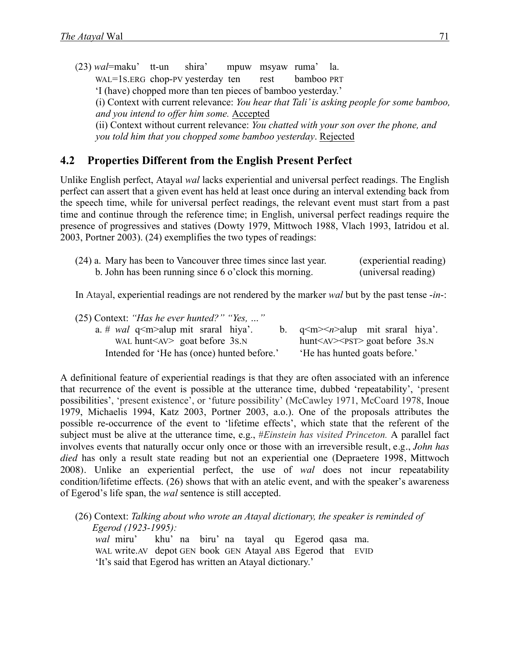(23) *wal*=maku' tt-un shira' mpuw msyaw ruma' la. WAL=1S.ERG chop-PV yesterday ten rest bamboo PRT 'I (have) chopped more than ten pieces of bamboo yesterday.' (i) Context with current relevance: *You hear that Tali' is asking people for some bamboo, and you intend to offer him some.* Accepted (ii) Context without current relevance: *You chatted with your son over the phone, and you told him that you chopped some bamboo yesterday*. Rejected

### **4.2 Properties Different from the English Present Perfect**

Unlike English perfect, Atayal *wal* lacks experiential and universal perfect readings. The English perfect can assert that a given event has held at least once during an interval extending back from the speech time, while for universal perfect readings, the relevant event must start from a past time and continue through the reference time; in English, universal perfect readings require the presence of progressives and statives (Dowty 1979, Mittwoch 1988, Vlach 1993, Iatridou et al. 2003, Portner 2003). (24) exemplifies the two types of readings:

| (24) a. Mary has been to Vancouver three times since last year. | (experiential reading) |
|-----------------------------------------------------------------|------------------------|
| b. John has been running since 6 o'clock this morning.          | (universal reading)    |

In Atayal, experiential readings are not rendered by the marker *wal* but by the past tense -*in*-:

| $(25)$ Context: "Has he ever hunted?" "Yes, "    |                                              |
|--------------------------------------------------|----------------------------------------------|
| a. # <i>wal</i> $q1$ $m>$ alup mit sraral hiya'. | b. $q \leq m \geq n$ >alup mit sraral hiya'. |
| WAL hunt $\langle$ AV $>$ goat before 3s.N       | $hunt AV PST >$ goat before 3s.N             |
| Intended for 'He has (once) hunted before.'      | He has hunted goats before.                  |

A definitional feature of experiential readings is that they are often associated with an inference that recurrence of the event is possible at the utterance time, dubbed 'repeatability', 'present possibilities', 'present existence', or 'future possibility' (McCawley 1971, McCoard 1978, Inoue 1979, Michaelis 1994, Katz 2003, Portner 2003, a.o.). One of the proposals attributes the possible re-occurrence of the event to 'lifetime effects', which state that the referent of the subject must be alive at the utterance time, e.g., #*Einstein has visited Princeton.* A parallel fact involves events that naturally occur only once or those with an irreversible result, e.g., *John has died* has only a result state reading but not an experiential one (Depraetere 1998, Mittwoch 2008). Unlike an experiential perfect, the use of *wal* does not incur repeatability condition/lifetime effects. (26) shows that with an atelic event, and with the speaker's awareness of Egerod's life span, the *wal* sentence is still accepted.

(26) Context: *Talking about who wrote an Atayal dictionary, the speaker is reminded of Egerod (1923-1995): wal* miru' khu' na biru' na tayal qu Egerod qasa ma.

WAL write.AV depot GEN book GEN Atayal ABS Egerod that EVID 'It's said that Egerod has written an Atayal dictionary.'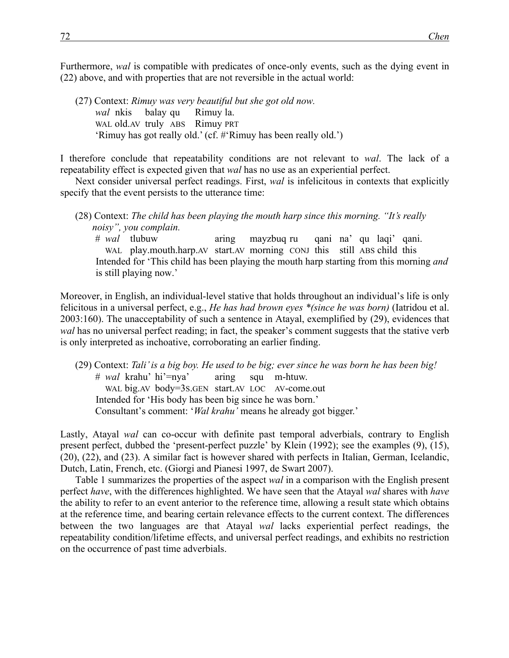Furthermore, *wal* is compatible with predicates of once-only events, such as the dying event in (22) above, and with properties that are not reversible in the actual world:

(27) Context: *Rimuy was very beautiful but she got old now. wal* nkis balay qu Rimuy la. WAL old.AV truly ABS Rimuy PRT 'Rimuy has got really old.' (cf. #'Rimuy has been really old.')

I therefore conclude that repeatability conditions are not relevant to *wal*. The lack of a repeatability effect is expected given that *wal* has no use as an experiential perfect.

Next consider universal perfect readings. First, *wal* is infelicitous in contexts that explicitly specify that the event persists to the utterance time:

(28) Context: *The child has been playing the mouth harp since this morning. "It's really noisy", you complain.* 

# *wal* tlubuw aring mayzbuq ru qani na' qu laqi' qani. WAL play.mouth.harp.AV start.AV morning CONJ this still ABS child this Intended for 'This child has been playing the mouth harp starting from this morning *and* is still playing now.'

Moreover, in English, an individual-level stative that holds throughout an individual's life is only felicitous in a universal perfect, e.g., *He has had brown eyes \*(since he was born)* (Iatridou et al. 2003:160). The unacceptability of such a sentence in Atayal, exemplified by (29), evidences that *wal* has no universal perfect reading; in fact, the speaker's comment suggests that the stative verb is only interpreted as inchoative, corroborating an earlier finding.

(29) Context: *Tali' is a big boy. He used to be big; ever since he was born he has been big!*  # *wal* krahu' hi'=nya' aring squ m-htuw. WAL big.AV body=3S.GEN start.AV LOC AV-come.out Intended for 'His body has been big since he was born.' Consultant's comment: '*Wal krahu'* means he already got bigger.'

Lastly, Atayal *wal* can co-occur with definite past temporal adverbials, contrary to English present perfect, dubbed the 'present-perfect puzzle' by Klein (1992); see the examples (9), (15), (20), (22), and (23). A similar fact is however shared with perfects in Italian, German, Icelandic, Dutch, Latin, French, etc. (Giorgi and Pianesi 1997, de Swart 2007).

Table 1 summarizes the properties of the aspect *wal* in a comparison with the English present perfect *have*, with the differences highlighted. We have seen that the Atayal *wal* shares with *have* the ability to refer to an event anterior to the reference time, allowing a result state which obtains at the reference time, and bearing certain relevance effects to the current context. The differences between the two languages are that Atayal *wal* lacks experiential perfect readings, the repeatability condition/lifetime effects, and universal perfect readings, and exhibits no restriction on the occurrence of past time adverbials.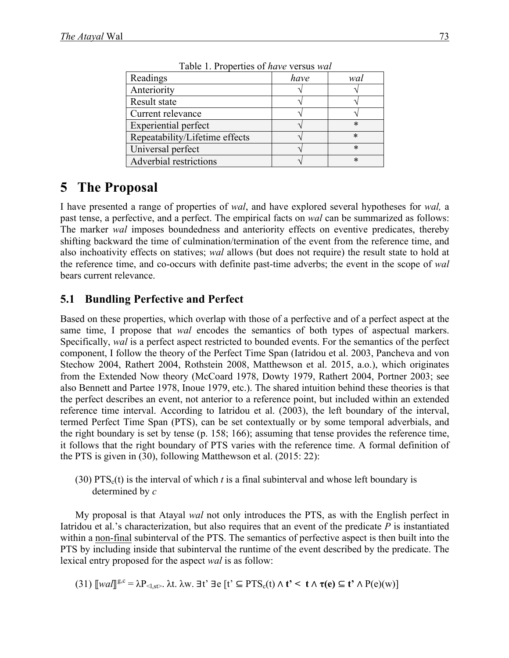| Readings                       | have | wal    |
|--------------------------------|------|--------|
| Anteriority                    |      |        |
| Result state                   |      |        |
| Current relevance              |      |        |
| <b>Experiential perfect</b>    |      | $\ast$ |
| Repeatability/Lifetime effects |      | $\ast$ |
| Universal perfect              |      | $\ast$ |
| Adverbial restrictions         |      | $\ast$ |

Table 1. Properties of *have* versus *wal*

## **5** The Proposal

I have presented a range of properties of *wal*, and have explored several hypotheses for *wal,* a past tense, a perfective, and a perfect. The empirical facts on *wal* can be summarized as follows: The marker *wal* imposes boundedness and anteriority effects on eventive predicates, thereby shifting backward the time of culmination/termination of the event from the reference time, and also inchoativity effects on statives; *wal* allows (but does not require) the result state to hold at the reference time, and co-occurs with definite past-time adverbs; the event in the scope of *wal* bears current relevance.

### **5.1 Bundling Perfective and Perfect**

Based on these properties, which overlap with those of a perfective and of a perfect aspect at the same time, I propose that *wal* encodes the semantics of both types of aspectual markers. Specifically, *wal* is a perfect aspect restricted to bounded events. For the semantics of the perfect component, I follow the theory of the Perfect Time Span (Iatridou et al. 2003, Pancheva and von Stechow 2004, Rathert 2004, Rothstein 2008, Matthewson et al. 2015, a.o.), which originates from the Extended Now theory (McCoard 1978, Dowty 1979, Rathert 2004, Portner 2003; see also Bennett and Partee 1978, Inoue 1979, etc.). The shared intuition behind these theories is that the perfect describes an event, not anterior to a reference point, but included within an extended reference time interval. According to Iatridou et al. (2003), the left boundary of the interval, termed Perfect Time Span (PTS), can be set contextually or by some temporal adverbials, and the right boundary is set by tense (p. 158; 166); assuming that tense provides the reference time, it follows that the right boundary of PTS varies with the reference time. A formal definition of the PTS is given in (30), following Matthewson et al. (2015: 22):

(30) PTS<sub>c</sub>(t) is the interval of which *t* is a final subinterval and whose left boundary is determined by *c*

My proposal is that Atayal *wal* not only introduces the PTS, as with the English perfect in Iatridou et al.'s characterization, but also requires that an event of the predicate *P* is instantiated within a non-final subinterval of the PTS. The semantics of perfective aspect is then built into the PTS by including inside that subinterval the runtime of the event described by the predicate. The lexical entry proposed for the aspect *wal* is as follow:

 $(31)$   $[[wa]]^{g,c} = \lambda P_{\leq 1, st>}$ .  $\lambda t$ .  $\lambda w$ .  $\exists t' \exists e [t' \subseteq PTS_c(t) \land t' \leq t \land \tau(e) \subseteq t' \land P(e)(w)]$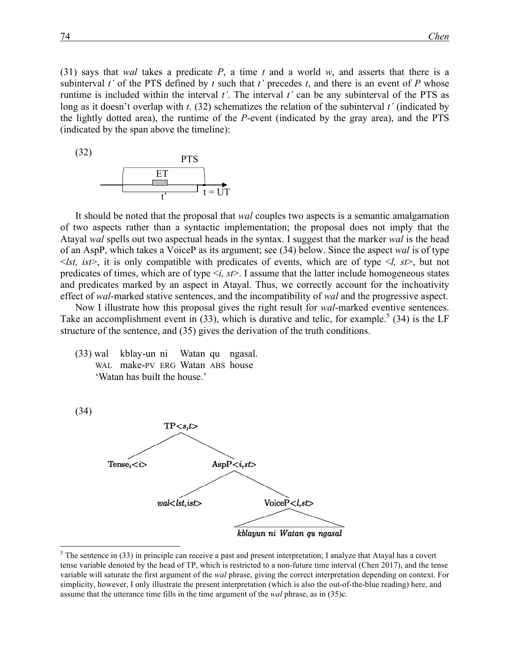(31) says that *wal* takes a predicate *P*, a time *t* and a world *w*, and asserts that there is a subinterval *t'* of the PTS defined by *t* such that *t'* precedes *t*, and there is an event of *P* whose runtime is included within the interval *t'*. The interval *t'* can be any subinterval of the PTS as long as it doesn't overlap with *t*. (32) schematizes the relation of the subinterval *t'* (indicated by the lightly dotted area), the runtime of the *P*-event (indicated by the gray area), and the PTS (indicated by the span above the timeline):



It should be noted that the proposal that *wal* couples two aspects is a semantic amalgamation of two aspects rather than a syntactic implementation; the proposal does not imply that the Atayal *wal* spells out two aspectual heads in the syntax. I suggest that the marker *wal* is the head of an AspP, which takes a VoiceP as its argument; see (34) below. Since the aspect *wal* is of type  $\leq$ lst, ist $\geq$ , it is only compatible with predicates of events, which are of type  $\leq$ l, st $\geq$ , but not predicates of times, which are of type <*i, st*>. I assume that the latter include homogeneous states and predicates marked by an aspect in Atayal. Thus, we correctly account for the inchoativity effect of *wal*-marked stative sentences, and the incompatibility of *wal* and the progressive aspect.

Now I illustrate how this proposal gives the right result for *wal*-marked eventive sentences. Take an accomplishment event in  $(33)$ , which is durative and telic, for example.<sup>5</sup>  $(34)$  is the LF structure of the sentence, and (35) gives the derivation of the truth conditions.

(33) wal kblay-un ni Watan qu ngasal. WAL make-PV ERG Watan ABS house 'Watan has built the house.'



 $<sup>5</sup>$  The sentence in (33) in principle can receive a past and present interpretation; I analyze that Atayal has a covert</sup> tense variable denoted by the head of TP, which is restricted to a non-future time interval (Chen 2017), and the tense variable will saturate the first argument of the *wal* phrase, giving the correct interpretation depending on context. For simplicity, however, I only illustrate the present interpretation (which is also the out-of-the-blue reading) here, and assume that the utterance time fills in the time argument of the *wal* phrase, as in (35)c.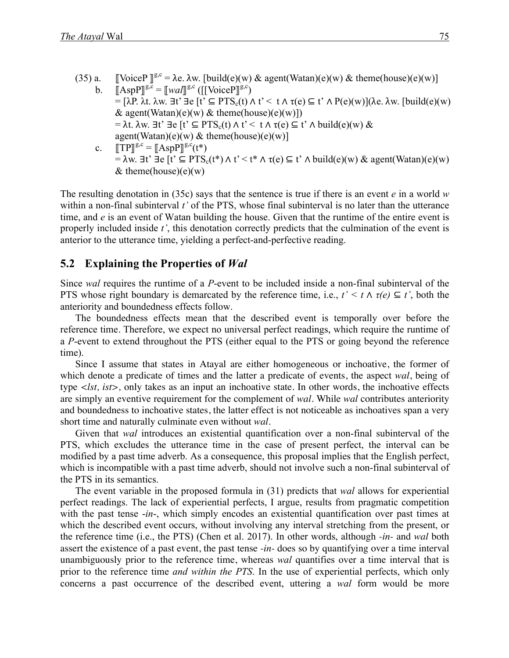(35) a. [VoiceP  $\mathbb{I}^{g,c} = \lambda e$ .  $\lambda w$ . [build(e)(w) & agent(Watan)(e)(w) & theme(house)(e)(w)] b.  $\[\mathbb{A}\text{spP}\]^{g,c} = \[\mathbb{W}aI\]^{g,c}(\[\mathbb{V}oiceP]\]^{g,c})$  $= [\lambda P, \lambda t, \lambda w, \exists t' \exists e [t' \subseteq PTS_c(t) \land t' < t \land \tau(e) \subseteq t' \land P(e)(w)]$ (λe. λw. [build(e)(w) & agent(Watan)(e)(w) & theme(house)(e)(w)])  $= \lambda t$ .  $\lambda w$ .  $\exists t' \exists e [t' \subseteq PTS_c(t) \land t' < t \land \tau(e) \subseteq t' \land \text{build}(e)(w) \&$  $agent(Watan)(e)(w) & theme(house)(e)(w)$ c.  $\llbracket \text{TP} \rrbracket^{\text{g,c}} = \llbracket \text{AspP} \rrbracket^{\text{g,c}}(t^*)$  $= \lambda w$ . ∃t' ∃e [t' ⊆ PTS<sub>c</sub>(t\*) ∧ t' < t\* ∧ τ(e) ⊆ t' ∧ build(e)(w) & agent(Watan)(e)(w) & theme(house)(e)(w)

The resulting denotation in (35c) says that the sentence is true if there is an event *e* in a world *w*  within a non-final subinterval *t'* of the PTS, whose final subinterval is no later than the utterance time, and *e* is an event of Watan building the house. Given that the runtime of the entire event is properly included inside *t'*, this denotation correctly predicts that the culmination of the event is anterior to the utterance time, yielding a perfect-and-perfective reading.

### **5.2** Explaining the Properties of *Wal*

Since *wal* requires the runtime of a *P*-event to be included inside a non-final subinterval of the PTS whose right boundary is demarcated by the reference time, i.e.,  $t' \leq t \wedge \tau(e) \subseteq t'$ , both the anteriority and boundedness effects follow.

The boundedness effects mean that the described event is temporally over before the reference time. Therefore, we expect no universal perfect readings, which require the runtime of a *P*-event to extend throughout the PTS (either equal to the PTS or going beyond the reference time).

Since I assume that states in Atayal are either homogeneous or inchoative, the former of which denote a predicate of times and the latter a predicate of events, the aspect *wal*, being of type *<lst, ist>,* only takes as an input an inchoative state. In other words, the inchoative effects are simply an eventive requirement for the complement of *wal*. While *wal* contributes anteriority and boundedness to inchoative states, the latter effect is not noticeable as inchoatives span a very short time and naturally culminate even without *wal*.

Given that *wal* introduces an existential quantification over a non-final subinterval of the PTS, which excludes the utterance time in the case of present perfect, the interval can be modified by a past time adverb. As a consequence, this proposal implies that the English perfect, which is incompatible with a past time adverb, should not involve such a non-final subinterval of the PTS in its semantics.

The event variable in the proposed formula in (31) predicts that *wal* allows for experiential perfect readings. The lack of experiential perfects, I argue, results from pragmatic competition with the past tense -*in*-, which simply encodes an existential quantification over past times at which the described event occurs, without involving any interval stretching from the present, or the reference time (i.e., the PTS) (Chen et al. 2017). In other words, although *-in-* and *wal* both assert the existence of a past event, the past tense *-in-* does so by quantifying over a time interval unambiguously prior to the reference time, whereas *wal* quantifies over a time interval that is prior to the reference time *and within the PTS*. In the use of experiential perfects, which only concerns a past occurrence of the described event, uttering a *wal* form would be more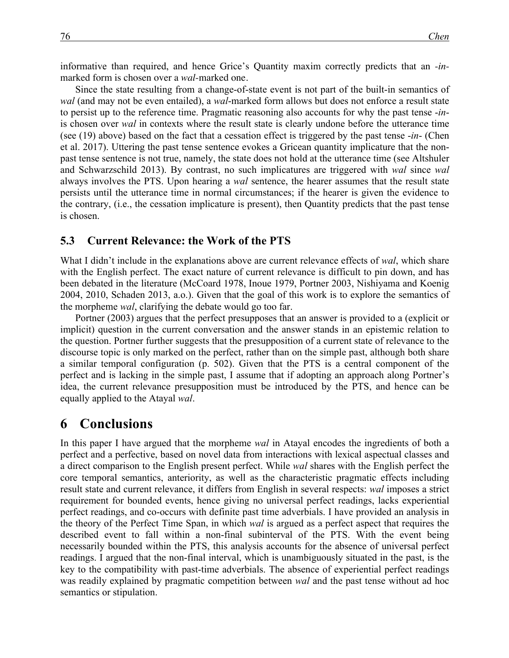informative than required, and hence Grice's Quantity maxim correctly predicts that an -*in*marked form is chosen over a *wal*-marked one.

Since the state resulting from a change-of-state event is not part of the built-in semantics of *wal* (and may not be even entailed), a *wal*-marked form allows but does not enforce a result state to persist up to the reference time. Pragmatic reasoning also accounts for why the past tense -*in*is chosen over *wal* in contexts where the result state is clearly undone before the utterance time (see (19) above) based on the fact that a cessation effect is triggered by the past tense -*in*- (Chen et al. 2017). Uttering the past tense sentence evokes a Gricean quantity implicature that the nonpast tense sentence is not true, namely, the state does not hold at the utterance time (see Altshuler and Schwarzschild 2013). By contrast, no such implicatures are triggered with *wal* since *wal* always involves the PTS. Upon hearing a *wal* sentence, the hearer assumes that the result state persists until the utterance time in normal circumstances; if the hearer is given the evidence to the contrary, (i.e., the cessation implicature is present), then Quantity predicts that the past tense is chosen.

#### **5.3** Current Relevance: the Work of the PTS

What I didn't include in the explanations above are current relevance effects of *wal*, which share with the English perfect. The exact nature of current relevance is difficult to pin down, and has been debated in the literature (McCoard 1978, Inoue 1979, Portner 2003, Nishiyama and Koenig 2004, 2010, Schaden 2013, a.o.). Given that the goal of this work is to explore the semantics of the morpheme *wal*, clarifying the debate would go too far.

Portner (2003) argues that the perfect presupposes that an answer is provided to a (explicit or implicit) question in the current conversation and the answer stands in an epistemic relation to the question. Portner further suggests that the presupposition of a current state of relevance to the discourse topic is only marked on the perfect, rather than on the simple past, although both share a similar temporal configuration (p. 502). Given that the PTS is a central component of the perfect and is lacking in the simple past, I assume that if adopting an approach along Portner's idea, the current relevance presupposition must be introduced by the PTS, and hence can be equally applied to the Atayal *wal*.

## **6 Conclusions**

In this paper I have argued that the morpheme *wal* in Atayal encodes the ingredients of both a perfect and a perfective, based on novel data from interactions with lexical aspectual classes and a direct comparison to the English present perfect. While *wal* shares with the English perfect the core temporal semantics, anteriority, as well as the characteristic pragmatic effects including result state and current relevance, it differs from English in several respects: *wal* imposes a strict requirement for bounded events, hence giving no universal perfect readings, lacks experiential perfect readings, and co-occurs with definite past time adverbials. I have provided an analysis in the theory of the Perfect Time Span, in which *wal* is argued as a perfect aspect that requires the described event to fall within a non-final subinterval of the PTS. With the event being necessarily bounded within the PTS, this analysis accounts for the absence of universal perfect readings. I argued that the non-final interval, which is unambiguously situated in the past, is the key to the compatibility with past-time adverbials. The absence of experiential perfect readings was readily explained by pragmatic competition between *wal* and the past tense without ad hoc semantics or stipulation.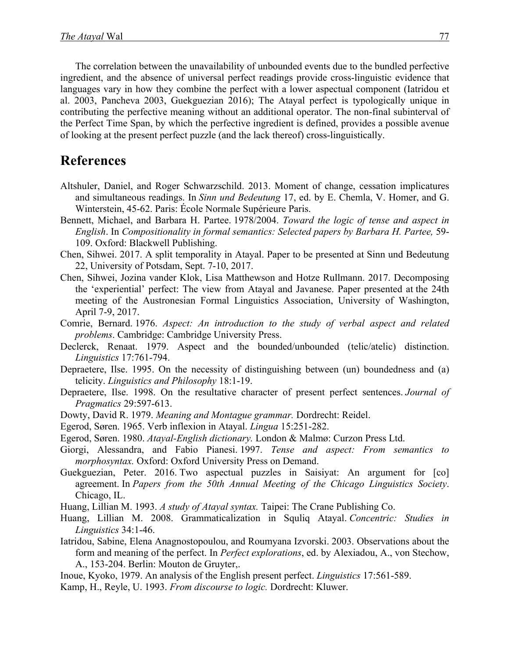The correlation between the unavailability of unbounded events due to the bundled perfective ingredient, and the absence of universal perfect readings provide cross-linguistic evidence that languages vary in how they combine the perfect with a lower aspectual component (Iatridou et al. 2003, Pancheva 2003, Guekguezian 2016); The Atayal perfect is typologically unique in contributing the perfective meaning without an additional operator. The non-final subinterval of the Perfect Time Span, by which the perfective ingredient is defined, provides a possible avenue of looking at the present perfect puzzle (and the lack thereof) cross-linguistically.

## **References**

- Altshuler, Daniel, and Roger Schwarzschild. 2013. Moment of change, cessation implicatures and simultaneous readings. In *Sinn und Bedeutung* 17, ed. by E. Chemla, V. Homer, and G. Winterstein, 45-62. Paris: École Normale Supérieure Paris.
- Bennett, Michael, and Barbara H. Partee. 1978/2004. *Toward the logic of tense and aspect in English*. In *Compositionality in formal semantics: Selected papers by Barbara H. Partee,* 59- 109. Oxford: Blackwell Publishing.
- Chen, Sihwei. 2017. A split temporality in Atayal. Paper to be presented at Sinn und Bedeutung 22, University of Potsdam, Sept. 7-10, 2017.
- Chen, Sihwei, Jozina vander Klok, Lisa Matthewson and Hotze Rullmann. 2017. Decomposing the 'experiential' perfect: The view from Atayal and Javanese. Paper presented at the 24th meeting of the Austronesian Formal Linguistics Association, University of Washington, April 7-9, 2017.
- Comrie, Bernard. 1976. *Aspect: An introduction to the study of verbal aspect and related problems*. Cambridge: Cambridge University Press.
- Declerck, Renaat. 1979. Aspect and the bounded/unbounded (telic/atelic) distinction. *Linguistics* 17:761-794.
- Depraetere, Ilse. 1995. On the necessity of distinguishing between (un) boundedness and (a) telicity. *Linguistics and Philosophy* 18:1-19.
- Depraetere, Ilse. 1998. On the resultative character of present perfect sentences. *Journal of Pragmatics* 29:597-613.
- Dowty, David R. 1979. *Meaning and Montague grammar.* Dordrecht: Reidel.
- Egerod, Søren. 1965. Verb inflexion in Atayal. *Lingua* 15:251-282.
- Egerod, Søren. 1980. *Atayal-English dictionary.* London & Malmø: Curzon Press Ltd.
- Giorgi, Alessandra, and Fabio Pianesi. 1997. *Tense and aspect: From semantics to morphosyntax.* Oxford: Oxford University Press on Demand.
- Guekguezian, Peter. 2016. Two aspectual puzzles in Saisiyat: An argument for [co] agreement. In *Papers from the 50th Annual Meeting of the Chicago Linguistics Society*. Chicago, IL.
- Huang, Lillian M. 1993. *A study of Atayal syntax.* Taipei: The Crane Publishing Co.
- Huang, Lillian M. 2008. Grammaticalization in Squliq Atayal. *Concentric: Studies in Linguistics* 34:1-46.
- Iatridou, Sabine, Elena Anagnostopoulou, and Roumyana Izvorski. 2003. Observations about the form and meaning of the perfect. In *Perfect explorations*, ed. by Alexiadou, A., von Stechow, A., 153-204. Berlin: Mouton de Gruyter,.
- Inoue, Kyoko, 1979. An analysis of the English present perfect. *Linguistics* 17:561-589.
- Kamp, H., Reyle, U. 1993. *From discourse to logic.* Dordrecht: Kluwer.